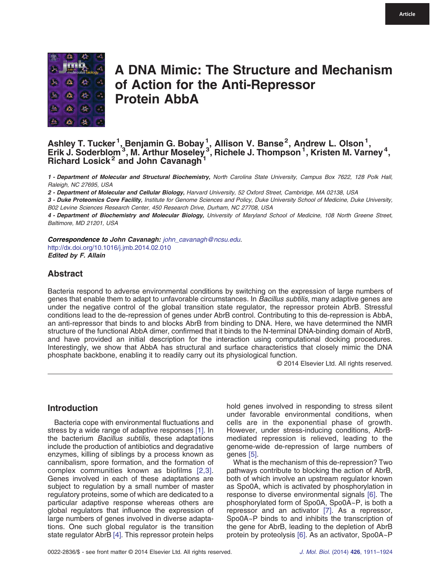

# A DNA Mimic: The Structure and Mechanism of Action for the Anti-Repressor Protein AbbA

# Ashley T. Tucker<sup>1</sup>, Benjamin G. Bobay<sup>1</sup>, Allison V. Banse<sup>2</sup>, Andrew L. Olson<sup>1</sup>,<br>Erik J. Soderblom<sup>3</sup>, M. Arthur Moseley3, Richele J. Thompson<sup>1</sup>, Kristen M. Varney<sup>4</sup>, Richard Losick<sup>2</sup> and John Cavanagh

1 - Department of Molecular and Structural Biochemistry, North Carolina State University, Campus Box 7622, 128 Polk Hall, Raleigh, NC 27695, USA

2 - Department of Molecular and Cellular Biology, Harvard University, 52 Oxford Street, Cambridge, MA 02138, USA

3 - Duke Proteomics Core Facility, Institute for Genome Sciences and Policy, Duke University School of Medicine, Duke University, B02 Levine Sciences Research Center, 450 Research Drive, Durham, NC 27708, USA

4 - Department of Biochemistry and Molecular Biology, University of Maryland School of Medicine, 108 North Greene Street, Baltimore, MD 21201, USA

Correspondence to John Cavanagh: [john\\_cavanagh@ncsu.edu.](mailto:john_cavanagh@ncsu.edu.) <http://dx.doi.org/10.1016/j.jmb.2014.02.010> Edited by F. Allain

# Abstract

Bacteria respond to adverse environmental conditions by switching on the expression of large numbers of genes that enable them to adapt to unfavorable circumstances. In Bacillus subtilis, many adaptive genes are under the negative control of the global transition state regulator, the repressor protein AbrB. Stressful conditions lead to the de-repression of genes under AbrB control. Contributing to this de-repression is AbbA, an anti-repressor that binds to and blocks AbrB from binding to DNA. Here, we have determined the NMR structure of the functional AbbA dimer, confirmed that it binds to the N-terminal DNA-binding domain of AbrB, and have provided an initial description for the interaction using computational docking procedures. Interestingly, we show that AbbA has structural and surface characteristics that closely mimic the DNA phosphate backbone, enabling it to readily carry out its physiological function.

© 2014 Elsevier Ltd. All rights reserved.

# Introduction

Bacteria cope with environmental fluctuations and stress by a wide range of adaptive responses [\[1\]](#page-11-0). In the bacterium Bacillus subtilis, these adaptations include the production of antibiotics and degradative enzymes, killing of siblings by a process known as cannibalism, spore formation, and the formation of complex communities known as biofilms [\[2,3\]](#page-11-0). Genes involved in each of these adaptations are subject to regulation by a small number of master regulatory proteins, some of which are dedicated to a particular adaptive response whereas others are global regulators that influence the expression of large numbers of genes involved in diverse adaptations. One such global regulator is the transition state regulator AbrB [\[4\]](#page-11-0). This repressor protein helps

hold genes involved in responding to stress silent under favorable environmental conditions, when cells are in the exponential phase of growth. However, under stress-inducing conditions, AbrBmediated repression is relieved, leading to the genome-wide de-repression of large numbers of genes [\[5\].](#page-12-0)

What is the mechanism of this de-repression? Two pathways contribute to blocking the action of AbrB, both of which involve an upstream regulator known as Spo0A, which is activated by phosphorylation in response to diverse environmental signals [\[6\]](#page-12-0). The phosphorylated form of Spo0A, Spo0A~P, is both a repressor and an activator [\[7\].](#page-12-0) As a repressor, Spo0A~P binds to and inhibits the transcription of the gene for AbrB, leading to the depletion of AbrB protein by proteolysis [\[6\]](#page-12-0). As an activator, Spo0A~P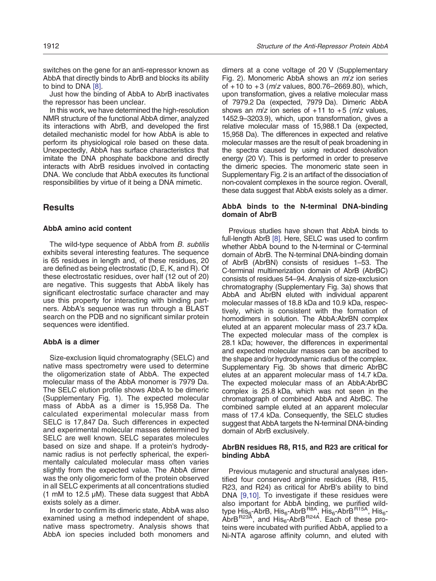switches on the gene for an anti-repressor known as AbbA that directly binds to AbrB and blocks its ability to bind to DNA [\[8\].](#page-12-0)

Just how the binding of AbbA to AbrB inactivates the repressor has been unclear.

In this work, we have determined the high-resolution NMR structure of the functional AbbA dimer, analyzed its interactions with AbrB, and developed the first detailed mechanistic model for how AbbA is able to perform its physiological role based on these data. Unexpectedly, AbbA has surface characteristics that imitate the DNA phosphate backbone and directly interacts with AbrB residues involved in contacting DNA. We conclude that AbbA executes its functional responsibilities by virtue of it being a DNA mimetic.

# **Results**

#### AbbA amino acid content

The wild-type sequence of AbbA from B. subtilis exhibits several interesting features. The sequence is 65 residues in length and, of these residues, 20 are defined as being electrostatic (D, E, K, and R). Of these electrostatic residues, over half (12 out of 20) are negative. This suggests that AbbA likely has significant electrostatic surface character and may use this property for interacting with binding partners. AbbA's sequence was run through a BLAST search on the PDB and no significant similar protein sequences were identified.

#### AbbA is a dimer

Size-exclusion liquid chromatography (SELC) and native mass spectrometry were used to determine the oligomerization state of AbbA. The expected molecular mass of the AbbA monomer is 7979 Da. The SELC elution profile shows AbbA to be dimeric (Supplementary Fig. 1). The expected molecular mass of AbbA as a dimer is 15,958 Da. The calculated experimental molecular mass from SELC is 17,847 Da. Such differences in expected and experimental molecular masses determined by SELC are well known. SELC separates molecules based on size and shape. If a protein's hydrodynamic radius is not perfectly spherical, the experimentally calculated molecular mass often varies slightly from the expected value. The AbbA dimer was the only oligomeric form of the protein observed in all SELC experiments at all concentrations studied (1 mM to 12.5 μM). These data suggest that AbbA exists solely as a dimer.

In order to confirm its dimeric state, AbbA was also examined using a method independent of shape, native mass spectrometry. Analysis shows that AbbA ion species included both monomers and

dimers at a cone voltage of 20 V (Supplementary Fig. 2). Monomeric AbbA shows an  $m/z$  ion series of  $+10$  to  $+3$  ( $m/z$  values, 800.76–2669.80), which, upon transformation, gives a relative molecular mass of 7979.2 Da (expected, 7979 Da). Dimeric AbbA shows an  $m/z$  ion series of +11 to +5 ( $m/z$  values, 1452.9–3203.9), which, upon transformation, gives a relative molecular mass of 15,988.1 Da (expected, 15,958 Da). The differences in expected and relative molecular masses are the result of peak broadening in the spectra caused by using reduced desolvation energy (20 V). This is performed in order to preserve the dimeric species. The monomeric state seen in Supplementary Fig. 2 is an artifact of the dissociation of non-covalent complexes in the source region. Overall, these data suggest that AbbA exists solely as a dimer.

### AbbA binds to the N-terminal DNA-binding domain of AbrB

Previous studies have shown that AbbA binds to full-length AbrB [\[8\].](#page-12-0) Here, SELC was used to confirm whether AbbA bound to the N-terminal or C-terminal domain of AbrB. The N-terminal DNA-binding domain of AbrB (AbrBN) consists of residues 1–53. The C-terminal multimerization domain of AbrB (AbrBC) consists of residues 54–94. Analysis of size-exclusion chromatography (Supplementary Fig. 3a) shows that AbbA and AbrBN eluted with individual apparent molecular masses of 18.8 kDa and 10.9 kDa, respectively, which is consistent with the formation of homodimers in solution. The AbbA:AbrBN complex eluted at an apparent molecular mass of 23.7 kDa. The expected molecular mass of the complex is 28.1 kDa; however, the differences in experimental and expected molecular masses can be ascribed to the shape and/or hydrodynamic radius of the complex. Supplementary Fig. 3b shows that dimeric AbrBC elutes at an apparent molecular mass of 14.7 kDa. The expected molecular mass of an AbbA:AbrBC complex is 25.8 kDa, which was not seen in the chromatograph of combined AbbA and AbrBC. The combined sample eluted at an apparent molecular mass of 17.4 kDa. Consequently, the SELC studies suggest that AbbA targets the N-terminal DNA-binding domain of AbrB exclusively.

## AbrBN residues R8, R15, and R23 are critical for binding AbbA

Previous mutagenic and structural analyses identified four conserved arginine residues (R8, R15, R23, and R24) as critical for AbrB's ability to bind DNA [\[9,10\].](#page-12-0) To investigate if these residues were also important for AbbA binding, we purified wildtype His<sub>6</sub>-AbrB, His<sub>6</sub>-AbrB<sup>R8A</sup>, His<sub>6</sub>-AbrB<sup>R15A</sup>, His<sub>6</sub>-AbrB<sup>R23A</sup>, and His<sub>6</sub>-AbrB<sup>R24A</sup>. Each of these proteins were incubated with purified AbbA, applied to a Ni-NTA agarose affinity column, and eluted with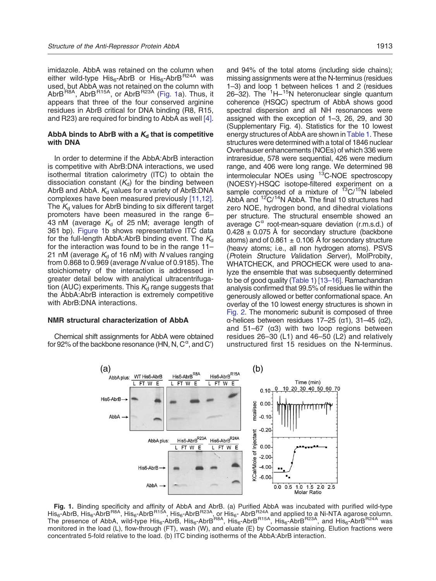imidazole. AbbA was retained on the column when either wild-type His $_6$ -AbrB or His $_6$ -AbrB<sup>R24A</sup> was used, but AbbA was not retained on the column with Abr $B^{R8A}$ , Abr $B^{R15A}$ , or Abr $B^{R23A}$  (Fig. 1a). Thus, it appears that three of the four conserved arginine residues in AbrB critical for DNA binding (R8, R15, and R23) are required for binding to AbbA as well [\[4\]](#page-11-0).

#### AbbA binds to AbrB with a  $K_d$  that is competitive with DNA

In order to determine if the AbbA:AbrB interaction is competitive with AbrB:DNA interactions, we used isothermal titration calorimetry (ITC) to obtain the dissociation constant  $(K_d)$  for the binding between AbrB and AbbA.  $K_d$  values for a variety of AbrB:DNA complexes have been measured previously [\[11,12\]](#page-12-0). The  $K_d$  values for AbrB binding to six different target promoters have been measured in the range 6– 43 nM (average  $K_d$  of 25 nM; average length of 361 bp). Figure 1b shows representative ITC data for the full-length AbbA: AbrB binding event. The  $K_d$ for the interaction was found to be in the range 11– 21 nM (average  $K_d$  of 16 nM) with N values ranging from 0.868 to 0.969 (average N value of 0.9185). The stoichiometry of the interaction is addressed in greater detail below with analytical ultracentrifugation (AUC) experiments. This  $K_d$  range suggests that the AbbA:AbrB interaction is extremely competitive with AbrB:DNA interactions.

## NMR structural characterization of AbbA

Chemical shift assignments for AbbA were obtained for 92% of the backbone resonance (HN, N, C $^{\alpha}$ , and C')

and 94% of the total atoms (including side chains); missing assignments were at the N-terminus (residues 1–3) and loop 1 between helices 1 and 2 (residues 26-32). The <sup>1</sup>H-<sup>15</sup>N heteronuclear single quantum coherence (HSQC) spectrum of AbbA shows good spectral dispersion and all NH resonances were assigned with the exception of 1–3, 26, 29, and 30 (Supplementary Fig. 4). Statistics for the 10 lowest energy structures of AbbA are shown in [Table 1](#page-3-0). These structures were determined with a total of 1846 nuclear Overhauser enhancements (NOEs) of which 336 were intraresidue, 578 were sequential, 426 were medium range, and 406 were long range. We determined 98 intermolecular NOEs using 13C-NOE spectroscopy (NOESY)-HSQC isotope-filtered experiment on a sample composed of a mixture of  $13C/15N$  labeled AbbA and  $12^{\circ}C/14N$  AbbA. The final 10 structures had zero NOE, hydrogen bond, and dihedral violations per structure. The structural ensemble showed an average  $C^{\alpha}$  root-mean-square deviation (r.m.s.d.) of  $0.428 \pm 0.075$  Å for secondary structure (backbone atoms) and of 0.861  $\pm$  0.106 Å for secondary structure (heavy atoms; i.e., all non hydrogen atoms). PSVS (Protein Structure Validation Server), MolProbity, WHATCHECK, and PROCHECK were used to analyze the ensemble that was subsequently determined to be of good quality [\(Table 1\)](#page-3-0) [\[13](#page-12-0)–16]. Ramachandran analysis confirmed that 99.5% of residues lie within the generously allowed or better conformational space. An overlay of the 10 lowest energy structures is shown in [Fig. 2](#page-3-0). The monomeric subunit is composed of three α-helices between residues 17–25 (α1), 31–45 (α2), and 51–67 ( $α3$ ) with two loop regions between residues 26–30 (L1) and 46–50 (L2) and relatively unstructured first 15 residues on the N-terminus.



**Fig. 1.** Binding specificity and affinity of AbbA and AbrB. (a) Purified AbbA was incubated with purified wild-type<br>His<sub>6</sub>-AbrB, His<sub>6</sub>-AbrB<sup>R8A</sup>, His<sub>6</sub>-AbrB<sup>R15A</sup>, His<sub>6</sub>-AbrB<sup>R23A</sup>, or His<sub>6</sub>- AbrB<sup>P224</sup>A and applied t The presence of AbbA, wild-type His<sub>6</sub>-AbrB, His<sub>6</sub>-AbrB<sup>R8A</sup>, His<sub>6</sub>-AbrB<sup>R15A</sup>, His<sub>6</sub>-AbrB<sup>R23A</sup>, and His<sub>6</sub>-AbrB<sup>R24A</sup> was monitored in the load (L), flow-through (FT), wash (W), and eluate (E) by Coomassie staining. Elution fractions were concentrated 5-fold relative to the load. (b) ITC binding isotherms of the AbbA:AbrB interaction.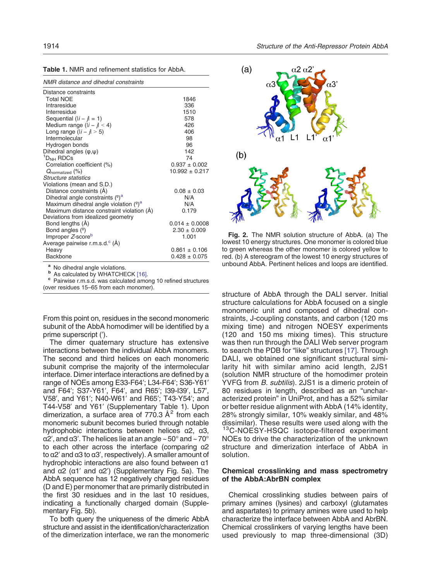<span id="page-3-0"></span>

| <b>Table 1. NMR and refinement statistics for AbbA.</b> |
|---------------------------------------------------------|
|---------------------------------------------------------|

|  | NMR distance and dihedral constraints |
|--|---------------------------------------|
|--|---------------------------------------|

| Distance constraints                       |                    |
|--------------------------------------------|--------------------|
| <b>Total NOE</b>                           | 1846               |
| Intraresidue                               | 336                |
| Interresidue                               | 1510               |
| Sequential $(li - j) = 1$                  | 578                |
| Medium range $(\vert i - j \vert < 4)$     | 426                |
| Long range $( i - j  > 5)$                 | 406                |
| Intermolecular                             | 98                 |
| Hydrogen bonds                             | 96                 |
| Dihedral angles $(\varphi,\psi)$           | 142                |
| $1DNH$ RDCs                                | 74                 |
| Correlation coefficient (%)                | $0.937 \pm 0.002$  |
| $Q_{\text{normalized}}$ (%)                | $10.992 \pm 0.217$ |
| Structure statistics                       |                    |
| Violations (mean and S.D.)                 |                    |
| Distance constraints (A)                   | $0.08 \pm 0.03$    |
| Dihedral angle constraints $(2)^a$         | N/A                |
| Maximum dihedral angle violation $(9)^a$   | N/A                |
| Maximum distance constraint violation (Å)  | 0.179              |
| Deviations from idealized geometry         |                    |
| Bond lengths (A)                           | $0.014 \pm 0.0008$ |
| Bond angles $(°)$                          | $2.30 \pm 0.009$   |
| Improper Z-score <sup>b</sup>              | 1.001              |
| Average pairwise r.m.s.d. <sup>c</sup> (Å) |                    |
| Heavy                                      | $0.861 \pm 0.106$  |
| <b>Backbone</b>                            | $0.428 \pm 0.075$  |

a No dihedral angle violations.<br>
b As calculated by WHATCHECK [\[16\]](#page-12-0).<br>
c Pairwise r.m.s.d. was calculated among 10 refined structures (over residues 15–65 from each monomer).

From this point on, residues in the second monomeric subunit of the AbbA homodimer will be identified by a prime superscript (′).

The dimer quaternary structure has extensive interactions between the individual AbbA monomers. The second and third helices on each monomeric subunit comprise the majority of the intermolecular interface. Dimer interface interactions are defined by a range of NOEs among E33-F64′; L34-F64′; S36-Y61′ and F64′; S37-Y61′, F64′, and R65′; I39-I39′, L57′, V58′, and Y61′; N40-W61′ and R65′; T43-Y54′; and T44-V58′ and Y61′ (Supplementary Table 1). Upon dimerization, a surface area of 770.3  $A<sup>2</sup>$  from each monomeric subunit becomes buried through notable hydrophobic interactions between helices α2, α3, α2′, and α3′. The helices lie at an angle ~ 50° and ~ 70° to each other across the interface (comparing α2 to α2′ and α3 to α3′, respectively). A smaller amount of hydrophobic interactions are also found between α1 and α2 (α1′ and α2′) (Supplementary Fig. 5a). The AbbA sequence has 12 negatively charged residues (D and E) per monomer that are primarily distributed in the first 30 residues and in the last 10 residues, indicating a functionally charged domain (Supplementary Fig. 5b).

To both query the uniqueness of the dimeric AbbA structure and assist in the identification/characterization of the dimerization interface, we ran the monomeric



Fig. 2. The NMR solution structure of AbbA. (a) The lowest 10 energy structures. One monomer is colored blue to green whereas the other monomer is colored yellow to red. (b) A stereogram of the lowest 10 energy structures of unbound AbbA. Pertinent helices and loops are identified.

structure of AbbA through the DALI server. Initial structure calculations for AbbA focused on a single monomeric unit and composed of dihedral constraints, J-coupling constants, and carbon (120 ms mixing time) and nitrogen NOESY experiments (120 and 150 ms mixing times). This structure was then run through the DALI Web server program to search the PDB for "like" structures [\[17\].](#page-12-0) Through DALI, we obtained one significant structural similarity hit with similar amino acid length, 2JS1 (solution NMR structure of the homodimer protein YVFG from B. subtilis). 2JS1 is a dimeric protein of 80 residues in length, described as an "uncharacterized protein" in UniProt, and has a 52% similar or better residue alignment with AbbA (14% identity, 28% strongly similar, 10% weakly similar, and 48% dissimilar). These results were used along with the <sup>13</sup>C-NOESY-HSQC isotope-filtered experiment NOEs to drive the characterization of the unknown structure and dimerization interface of AbbA in solution.

## Chemical crosslinking and mass spectrometry of the AbbA:AbrBN complex

Chemical crosslinking studies between pairs of primary amines (lysines) and carboxyl (glutamates and aspartates) to primary amines were used to help characterize the interface between AbbA and AbrBN. Chemical crosslinkers of varying lengths have been used previously to map three-dimensional (3D)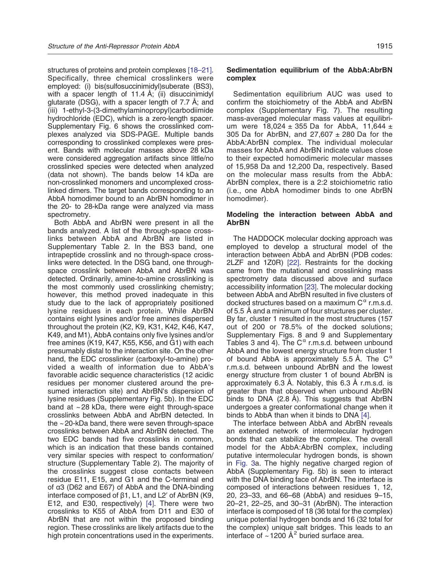structures of proteins and protein complexes [\[18](#page-12-0)–21]. Specifically, three chemical crosslinkers were employed: (i) bis(sulfosuccinimidyl)suberate (BS3), with a spacer length of 11.4  $\AA$ ; (ii) disuccinimidyl glutarate (DSG), with a spacer length of 7.7 Å; and (iii) 1-ethyl-3-(3-dimethylaminopropyl)carbodiimide hydrochloride (EDC), which is a zero-length spacer. Supplementary Fig. 6 shows the crosslinked complexes analyzed via SDS-PAGE. Multiple bands corresponding to crosslinked complexes were present. Bands with molecular masses above 28 kDa were considered aggregation artifacts since little/no crosslinked species were detected when analyzed (data not shown). The bands below 14 kDa are non-crosslinked monomers and uncomplexed crosslinked dimers. The target bands corresponding to an AbbA homodimer bound to an AbrBN homodimer in the 20- to 28-kDa range were analyzed via mass spectrometry.

Both AbbA and AbrBN were present in all the bands analyzed. A list of the through-space crosslinks between AbbA and AbrBN are listed in Supplementary Table 2. In the BS3 band, one intrapeptide crosslink and no through-space crosslinks were detected. In the DSG band, one throughspace crosslink between AbbA and AbrBN was detected. Ordinarily, amine-to-amine crosslinking is the most commonly used crosslinking chemistry; however, this method proved inadequate in this study due to the lack of appropriately positioned lysine residues in each protein. While AbrBN contains eight lysines and/or free amines dispersed throughout the protein (K2, K9, K31, K42, K46, K47, K49, and M1), AbbA contains only five lysines and/or free amines (K19, K47, K55, K56, and G1) with each presumably distal to the interaction site. On the other hand, the EDC crosslinker (carboxyl-to-amine) provided a wealth of information due to AbbA's favorable acidic sequence characteristics (12 acidic residues per monomer clustered around the presumed interaction site) and AbrBN's dispersion of lysine residues (Supplementary Fig. 5b). In the EDC band at ~ 28 kDa, there were eight through-space crosslinks between AbbA and AbrBN detected. In the ~ 20-kDa band, there were seven through-space crosslinks between AbbA and AbrBN detected. The two EDC bands had five crosslinks in common, which is an indication that these bands contained very similar species with respect to conformation/ structure (Supplementary Table 2). The majority of the crosslinks suggest close contacts between residue E11, E15, and G1 and the C-terminal end of α3 (D62 and E67) of AbbA and the DNA-binding interface composed of β1, L1, and L2′ of AbrBN (K9, E12, and E30, respectively) [\[4\]](#page-11-0). There were two crosslinks to K55 of AbbA from D11 and E30 of AbrBN that are not within the proposed binding region. These crosslinks are likely artifacts due to the high protein concentrations used in the experiments.

## Sedimentation equilibrium of the AbbA:AbrBN complex

Sedimentation equilibrium AUC was used to confirm the stoichiometry of the AbbA and AbrBN complex (Supplementary Fig. 7). The resulting mass-averaged molecular mass values at equilibrium were  $18,024 \pm 355$  Da for AbbA, 11,644  $\pm$ 305 Da for AbrBN, and  $27,607 \pm 280$  Da for the AbbA:AbrBN complex. The individual molecular masses for AbbA and AbrBN indicate values close to their expected homodimeric molecular masses of 15,958 Da and 12,200 Da, respectively. Based on the molecular mass results from the AbbA: AbrBN complex, there is a 2:2 stoichiometric ratio (i.e., one AbbA homodimer binds to one AbrBN homodimer).

## Modeling the interaction between AbbA and AbrBN

The HADDOCK molecular docking approach was employed to develop a structural model of the interaction between AbbA and AbrBN (PDB codes: 2LZF and 1Z0R) [\[22\].](#page-12-0) Restraints for the docking came from the mutational and crosslinking mass spectrometry data discussed above and surface accessibility information [\[23\].](#page-12-0) The molecular docking between AbbA and AbrBN resulted in five clusters of docked structures based on a maximum  $C^{\alpha}$  r.m.s.d. of 5.5 Å and a minimum of four structures per cluster. By far, cluster 1 resulted in the most structures (157 out of 200 or 78.5% of the docked solutions; Supplementary Figs. 8 and 9 and Supplementary Tables 3 and 4). The  $C^{\alpha}$  r.m.s.d. between unbound AbbA and the lowest energy structure from cluster 1 of bound AbbA is approximately 5.5 Å. The  $C^{\alpha}$ r.m.s.d. between unbound AbrBN and the lowest energy structure from cluster 1 of bound AbrBN is approximately 6.3 Å. Notably, this 6.3 Å r.m.s.d. is greater than that observed when unbound AbrBN binds to DNA (2.8 Å). This suggests that AbrBN undergoes a greater conformational change when it binds to AbbA than when it binds to DNA [\[4\].](#page-11-0)

The interface between AbbA and AbrBN reveals an extended network of intermolecular hydrogen bonds that can stabilize the complex. The overall model for the AbbA:AbrBN complex, including putative intermolecular hydrogen bonds, is shown in [Fig. 3a](#page-5-0). The highly negative charged region of AbbA (Supplementary Fig. 5b) is seen to interact with the DNA binding face of AbrBN. The interface is composed of interactions between residues 1, 12, 20, 23–33, and 66–68 (AbbA) and residues 9–15, 20–21, 22–25, and 30–31 (AbrBN). The interaction interface is composed of 18 (36 total for the complex) unique potential hydrogen bonds and 16 (32 total for the complex) unique salt bridges. This leads to an interface of  $\sim$  1200 Å<sup>2</sup> buried surface area.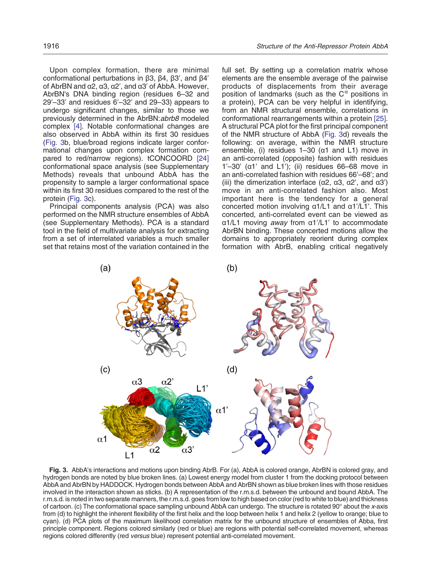<span id="page-5-0"></span>Upon complex formation, there are minimal conformational perturbations in β3, β4, β3′, and β4′ of AbrBN and α2, α3, α2′, and α3′ of AbbA. However, AbrBN's DNA binding region (residues 6–32 and 29′–33′ and residues 6′–32′ and 29–33) appears to undergo significant changes, similar to those we previously determined in the AbrBN: abrb8 modeled complex [\[4\].](#page-11-0) Notable conformational changes are also observed in AbbA within its first 30 residues (Fig. 3b, blue/broad regions indicate larger conformational changes upon complex formation compared to red/narrow regions). tCONCOORD [\[24\]](#page-12-0) conformational space analysis (see Supplementary Methods) reveals that unbound AbbA has the propensity to sample a larger conformational space within its first 30 residues compared to the rest of the protein (Fig. 3c).

Principal components analysis (PCA) was also performed on the NMR structure ensembles of AbbA (see Supplementary Methods). PCA is a standard tool in the field of multivariate analysis for extracting from a set of interrelated variables a much smaller set that retains most of the variation contained in the

full set. By setting up a correlation matrix whose elements are the ensemble average of the pairwise products of displacements from their average position of landmarks (such as the  $C^{\alpha}$  positions in a protein), PCA can be very helpful in identifying, from an NMR structural ensemble, correlations in conformational rearrangements within a protein [\[25\]](#page-12-0). A structural PCA plot for the first principal component of the NMR structure of AbbA (Fig. 3d) reveals the following: on average, within the NMR structure ensemble, (i) residues  $1-30$  ( $\alpha$ 1 and L1) move in an anti-correlated (opposite) fashion with residues  $1'-30'$  (α1' and L1'); (ii) residues 66–68 move in an anti-correlated fashion with residues 66′–68′; and (iii) the dimerization interface ( $α2$ ,  $α3$ ,  $α2'$ , and  $α3'$ ) move in an anti-correlated fashion also. Most important here is the tendency for a general concerted motion involving α1/L1 and α1′/L1′. This concerted, anti-correlated event can be viewed as α1/L1 moving away from α1′/L1′ to accommodate AbrBN binding. These concerted motions allow the domains to appropriately reorient during complex formation with AbrB, enabling critical negatively



Fig. 3. AbbA's interactions and motions upon binding AbrB. For (a), AbbA is colored orange, AbrBN is colored gray, and hydrogen bonds are noted by blue broken lines. (a) Lowest energy model from cluster 1 from the docking protocol between AbbA and AbrBN by HADDOCK. Hydrogen bonds between AbbA and AbrBN shown as blue broken lines with those residues involved in the interaction shown as sticks. (b) A representation of the r.m.s.d. between the unbound and bound AbbA. The r.m.s.d. is noted in two separate manners, the r.m.s.d. goes from low to high based on color (red to white to blue) and thickness of cartoon. (c) The conformational space sampling unbound AbbA can undergo. The structure is rotated 90° about the x-axis from (d) to highlight the inherent flexibility of the first helix and the loop between helix 1 and helix 2 (yellow to orange; blue to cyan). (d) PCA plots of the maximum likelihood correlation matrix for the unbound structure of ensembles of Abba, first principle component. Regions colored similarly (red or blue) are regions with potential self-correlated movement, whereas regions colored differently (red versus blue) represent potential anti-correlated movement.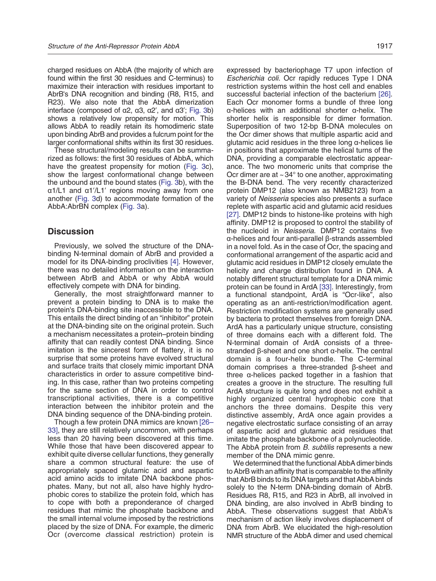charged residues on AbbA (the majority of which are found within the first 30 residues and C-terminus) to maximize their interaction with residues important to AbrB's DNA recognition and binding (R8, R15, and R23). We also note that the AbbA dimerization interface (composed of α2, α3, α2', and α3'; [Fig. 3](#page-5-0)b) shows a relatively low propensity for motion. This allows AbbA to readily retain its homodimeric state upon binding AbrB and provides a fulcrum point for the larger conformational shifts within its first 30 residues.

These structural/modeling results can be summarized as follows: the first 30 residues of AbbA, which have the greatest propensity for motion [\(Fig. 3c](#page-5-0)), show the largest conformational change between the unbound and the bound states ([Fig. 3](#page-5-0)b), with the α1/L1 and α1′/L1′ regions moving away from one another ([Fig. 3](#page-5-0)d) to accommodate formation of the AbbA:AbrBN complex ([Fig. 3](#page-5-0)a).

# **Discussion**

Previously, we solved the structure of the DNAbinding N-terminal domain of AbrB and provided a model for its DNA-binding proclivities [\[4\].](#page-11-0) However, there was no detailed information on the interaction between AbrB and AbbA or why AbbA would effectively compete with DNA for binding.

Generally, the most straightforward manner to prevent a protein binding to DNA is to make the protein's DNA-binding site inaccessible to the DNA. This entails the direct binding of an "inhibitor" protein at the DNA-binding site on the original protein. Such a mechanism necessitates a protein–protein binding affinity that can readily contest DNA binding. Since imitation is the sincerest form of flattery, it is no surprise that some proteins have evolved structural and surface traits that closely mimic important DNA characteristics in order to assure competitive binding. In this case, rather than two proteins competing for the same section of DNA in order to control transcriptional activities, there is a competitive interaction between the inhibitor protein and the DNA binding sequence of the DNA-binding protein.

Though a few protein DNA mimics are known [\[26](#page-12-0)– [33\],](#page-12-0) they are still relatively uncommon, with perhaps less than 20 having been discovered at this time. While those that have been discovered appear to exhibit quite diverse cellular functions, they generally share a common structural feature: the use of appropriately spaced glutamic acid and aspartic acid amino acids to imitate DNA backbone phosphates. Many, but not all, also have highly hydrophobic cores to stabilize the protein fold, which has to cope with both a preponderance of charged residues that mimic the phosphate backbone and the small internal volume imposed by the restrictions placed by the size of DNA. For example, the dimeric Ocr (overcome classical restriction) protein is expressed by bacteriophage T7 upon infection of Escherichia coli. Ocr rapidly reduces Type I DNA restriction systems within the host cell and enables successful bacterial infection of the bacterium [\[26\].](#page-12-0) Each Ocr monomer forms a bundle of three long α-helices with an additional shorter α-helix. The shorter helix is responsible for dimer formation. Superposition of two 12-bp B-DNA molecules on the Ocr dimer shows that multiple aspartic acid and glutamic acid residues in the three long α-helices lie in positions that approximate the helical turns of the DNA, providing a comparable electrostatic appearance. The two monomeric units that comprise the Ocr dimer are at  $\sim$  34 $\degree$  to one another, approximating the B-DNA bend. The very recently characterized protein DMP12 (also known as NMB2123) from a variety of Neisseria species also presents a surface replete with aspartic acid and glutamic acid residues [\[27\]](#page-12-0). DMP12 binds to histone-like proteins with high affinity. DMP12 is proposed to control the stability of the nucleoid in Neisseria. DMP12 contains five α-helices and four anti-parallel β-strands assembled in a novel fold. As in the case of Ocr, the spacing and conformational arrangement of the aspartic acid and glutamic acid residues in DMP12 closely emulate the helicity and charge distribution found in DNA. A notably different structural template for a DNA mimic protein can be found in ArdA [\[33\]](#page-12-0). Interestingly, from a functional standpoint, ArdA is "Ocr-like", also operating as an anti-restriction/modification agent. Restriction modification systems are generally used by bacteria to protect themselves from foreign DNA. ArdA has a particularly unique structure, consisting of three domains each with a different fold. The N-terminal domain of ArdA consists of a threestranded β-sheet and one short α-helix. The central domain is a four-helix bundle. The C-terminal domain comprises a three-stranded β-sheet and three α-helices packed together in a fashion that creates a groove in the structure. The resulting full ArdA structure is quite long and does not exhibit a highly organized central hydrophobic core that anchors the three domains. Despite this very distinctive assembly, ArdA once again provides a negative electrostatic surface consisting of an array of aspartic acid and glutamic acid residues that imitate the phosphate backbone of a polynucleotide. The AbbA protein from *B. subtilis* represents a new member of the DNA mimic genre.

We determined that the functional AbbA dimer binds to AbrB with an affinity that is comparable to the affinity that AbrB binds to its DNA targets and that AbbA binds solely to the N-term DNA-binding domain of AbrB. Residues R8, R15, and R23 in AbrB, all involved in DNA binding, are also involved in AbrB binding to AbbA. These observations suggest that AbbA's mechanism of action likely involves displacement of DNA from AbrB. We elucidated the high-resolution NMR structure of the AbbA dimer and used chemical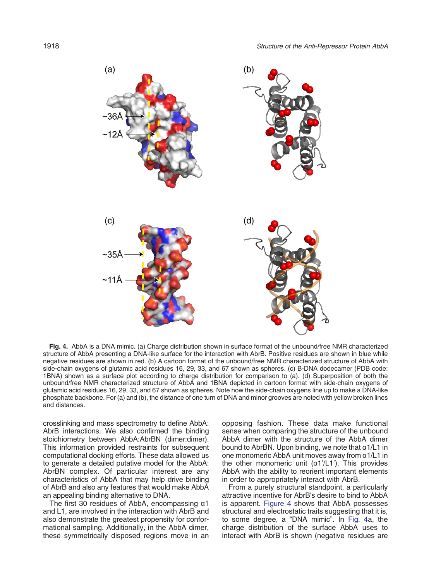<span id="page-7-0"></span>

Fig. 4. AbbA is a DNA mimic. (a) Charge distribution shown in surface format of the unbound/free NMR characterized structure of AbbA presenting a DNA-like surface for the interaction with AbrB. Positive residues are shown in blue while negative residues are shown in red. (b) A cartoon format of the unbound/free NMR characterized structure of AbbA with side-chain oxygens of glutamic acid residues 16, 29, 33, and 67 shown as spheres. (c) B-DNA dodecamer (PDB code: 1BNA) shown as a surface plot according to charge distribution for comparison to (a). (d) Superposition of both the unbound/free NMR characterized structure of AbbA and 1BNA depicted in cartoon format with side-chain oxygens of glutamic acid residues 16, 29, 33, and 67 shown as spheres. Note how the side-chain oxygens line up to make a DNA-like phosphate backbone. For (a) and (b), the distance of one turn of DNA and minor grooves are noted with yellow broken lines and distances.

crosslinking and mass spectrometry to define AbbA: AbrB interactions. We also confirmed the binding stoichiometry between AbbA:AbrBN (dimer:dimer). This information provided restraints for subsequent computational docking efforts. These data allowed us to generate a detailed putative model for the AbbA: AbrBN complex. Of particular interest are any characteristics of AbbA that may help drive binding of AbrB and also any features that would make AbbA an appealing binding alternative to DNA.

The first 30 residues of AbbA, encompassing α1 and L1, are involved in the interaction with AbrB and also demonstrate the greatest propensity for conformational sampling. Additionally, in the AbbA dimer, these symmetrically disposed regions move in an

opposing fashion. These data make functional sense when comparing the structure of the unbound AbbA dimer with the structure of the AbbA dimer bound to AbrBN. Upon binding, we note that α1/L1 in one monomeric AbbA unit moves away from α1/L1 in the other monomeric unit  $(α1'/L1')$ . This provides AbbA with the ability to reorient important elements in order to appropriately interact with AbrB.

From a purely structural standpoint, a particularly attractive incentive for AbrB's desire to bind to AbbA is apparent. Figure 4 shows that AbbA possesses structural and electrostatic traits suggesting that it is, to some degree, a "DNA mimic". In Fig. 4a, the charge distribution of the surface AbbA uses to interact with AbrB is shown (negative residues are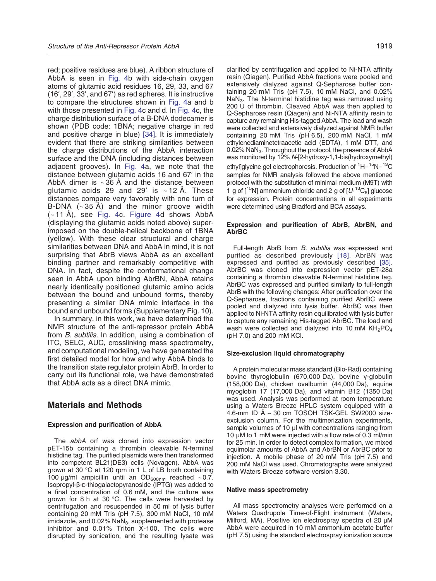red; positive residues are blue). A ribbon structure of AbbA is seen in [Fig. 4](#page-7-0)b with side-chain oxygen atoms of glutamic acid residues 16, 29, 33, and 67 (16′, 29′, 33′, and 67′) as red spheres. It is instructive to compare the structures shown in [Fig. 4](#page-7-0)a and b with those presented in [Fig. 4](#page-7-0)c and d. In [Fig. 4c](#page-7-0), the charge distribution surface of a B-DNA dodecamer is shown (PDB code: 1BNA; negative charge in red and positive charge in blue) [\[34\].](#page-12-0) It is immediately evident that there are striking similarities between the charge distributions of the AbbA interaction surface and the DNA (including distances between adjacent grooves). In [Fig. 4](#page-7-0)a, we note that the distance between glutamic acids 16 and 67′ in the AbbA dimer is  $\sim$  36 Å and the distance between glutamic acids 29 and 29' is  $\sim$  12 Å. These distances compare very favorably with one turn of B-DNA  $(-35 \text{ Å})$  and the minor groove width  $(-11 \text{ Å})$ , see [Fig. 4c](#page-7-0). [Figure 4d](#page-7-0) shows AbbA (displaying the glutamic acids noted above) superimposed on the double-helical backbone of 1BNA (yellow). With these clear structural and charge similarities between DNA and AbbA in mind, it is not surprising that AbrB views AbbA as an excellent binding partner and remarkably competitive with DNA. In fact, despite the conformational change seen in AbbA upon binding AbrBN, AbbA retains nearly identically positioned glutamic amino acids between the bound and unbound forms, thereby presenting a similar DNA mimic interface in the bound and unbound forms (Supplementary Fig. 10).

In summary, in this work, we have determined the NMR structure of the anti-repressor protein AbbA from B. subtilis. In addition, using a combination of ITC, SELC, AUC, crosslinking mass spectrometry, and computational modeling, we have generated the first detailed model for how and why AbbA binds to the transition state regulator protein AbrB. In order to carry out its functional role, we have demonstrated that AbbA acts as a direct DNA mimic.

# Materials and Methods

#### Expression and purification of AbbA

The abbA orf was cloned into expression vector pET-15b containing a thrombin cleavable N-terminal histidine tag. The purified plasmids were then transformed into competent BL21(DE3) cells (Novagen). AbbA was grown at 30 °C at 120 rpm in 1 L of LB broth containing 100 μg/ml ampicillin until an  $OD_{600nm}$  reached ~0.7. Isopropyl-β-D-thiogalactopyranoside (IPTG) was added to a final concentration of 0.6 mM, and the culture was grown for 8 h at 30 °C. The cells were harvested by centrifugation and resuspended in 50 ml of lysis buffer containing 20 mM Tris (pH 7.5), 300 mM NaCl, 10 mM imidazole, and  $0.02\%$  NaN $_3$ , supplemented with protease inhibitor and 0.01% Triton X-100. The cells were disrupted by sonication, and the resulting lysate was

clarified by centrifugation and applied to Ni-NTA affinity resin (Qiagen). Purified AbbA fractions were pooled and extensively dialyzed against Q-Sepharose buffer containing 20 mM Tris (pH 7.5), 10 mM NaCl, and 0.02%  $NaN<sub>3</sub>$ . The N-terminal histidine tag was removed using 200 U of thrombin. Cleaved AbbA was then applied to Q-Sepharose resin (Qiagen) and Ni-NTA affinity resin to capture any remaining His-tagged AbbA. The load and wash were collected and extensively dialyzed against NMR buffer containing 20 mM Tris (pH 6.5), 200 mM NaCl, 1 mM ethylenediaminetetraacetic acid (EDTA), 1 mM DTT, and 0.02% NaN<sub>3</sub>. Throughout the protocol, the presence of AbbA was monitored by 12% N-[2-hydroxy-1,1-bis(hydroxymethyl) ethyl]glycine gel electrophoresis. Production of <sup>1</sup>H-<sup>15</sup>N-<sup>13</sup>C samples for NMR analysis followed the above mentioned protocol with the substitution of minimal medium (M9T) with 1 g of  $[^{15}N]$  ammonium chloride and 2 g of  $[U^{-13}C_{6}]$  glucose for expression. Protein concentrations in all experiments were determined using Bradford and BCA assays.

#### Expression and purification of AbrB, AbrBN, and AbrBC

Full-length AbrB from B. subtilis was expressed and purified as described previously [\[18\]](#page-12-0). AbrBN was expressed and purified as previously described [\[35\].](#page-12-0) AbrBC was cloned into expression vector pET-28a containing a thrombin cleavable N-terminal histidine tag. AbrBC was expressed and purified similarly to full-length AbrB with the following changes: After purification over the Q-Sepharose, fractions containing purified AbrBC were pooled and dialyzed into lysis buffer. AbrBC was then applied to Ni-NTA affinity resin equilibrated with lysis buffer to capture any remaining His-tagged AbrBC. The load and wash were collected and dialyzed into 10 mM  $KH<sub>2</sub>PO<sub>4</sub>$ (pH 7.0) and 200 mM KCl.

#### Size-exclusion liquid chromatography

A protein molecular mass standard (Bio-Rad) containing bovine thyroglobulin (670,000 Da), bovine γ-globulin (158,000 Da), chicken ovalbumin (44,000 Da), equine myoglobin 17 (17,000 Da), and vitamin B12 (1350 Da) was used. Analysis was performed at room temperature using a Waters Breeze HPLC system equipped with a 4.6-mm ID Å ~ 30 cm TOSOH TSK-GEL SW2000 sizeexclusion column. For the multimerization experiments, sample volumes of 10 μl with concentrations ranging from 10 μM to 1 mM were injected with a flow rate of 0.3 ml/min for 25 min. In order to detect complex formation, we mixed equimolar amounts of AbbA and AbrBN or AbrBC prior to injection. A mobile phase of 20 mM Tris (pH 7.5) and 200 mM NaCl was used. Chromatographs were analyzed with Waters Breeze software version 3.30.

#### Native mass spectrometry

All mass spectrometry analyses were performed on a Waters Quadrupole Time-of-Flight instrument (Waters, Milford, MA). Positive ion electrospray spectra of 20 μM AbbA were acquired in 10 mM ammonium acetate buffer (pH 7.5) using the standard electrospray ionization source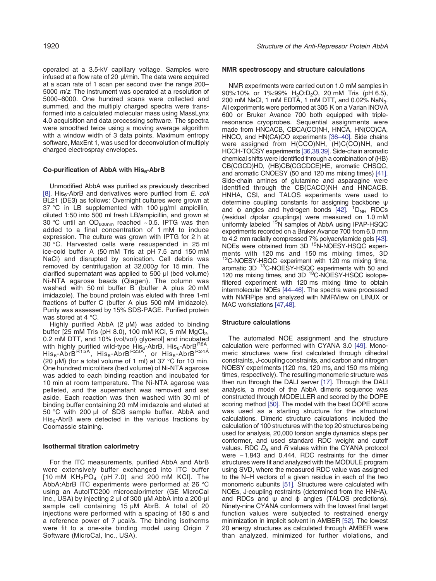operated at a 3.5-kV capillary voltage. Samples were infused at a flow rate of 20 μl/min. The data were acquired at a scan rate of 1 scan per second over the range 200– 5000 m/z. The instrument was operated at a resolution of 5000–6000. One hundred scans were collected and summed, and the multiply charged spectra were transformed into a calculated molecular mass using MassLynx 4.0 acquisition and data processing software. The spectra were smoothed twice using a moving average algorithm with a window width of 3 data points. Maximum entropy software, MaxEnt 1, was used for deconvolution of multiply charged electrospray envelopes.

## Co-purification of AbbA with  $His<sub>6</sub>$ -AbrB

Unmodified AbbA was purified as previously described [\[8\].](#page-12-0) His<sub>6</sub>-AbrB and derivatives were purified from  $E$ . coli BL21 (DE3) as follows: Overnight cultures were grown at 37 °C in LB supplemented with 100 μg/ml ampicillin, diluted 1:50 into 500 ml fresh LB/ampicillin, and grown at 30 °C until an OD $_{600nm}$  reached ~0.5. IPTG was then added to a final concentration of 1 mM to induce expression. The culture was grown with IPTG for 2 h at 30 °C. Harvested cells were resuspended in 25 ml ice-cold buffer A (50 mM Tris at pH 7.5 and 150 mM NaCl) and disrupted by sonication. Cell debris was removed by centrifugation at 32,000g for 15 min. The clarified supernatant was applied to 500 μl (bed volume) Ni-NTA agarose beads (Qiagen). The column was washed with 50 ml buffer B (buffer A plus 20 mM imidazole). The bound protein was eluted with three 1-ml fractions of buffer C (buffer A plus 500 mM imidazole). Purity was assessed by 15% SDS-PAGE. Purified protein was stored at 4 °C.

Highly purified AbbA (2 μM) was added to binding buffer  $[25 \text{ mM Tris (pH 8.0)}, 100 \text{ mM KCl}, 5 \text{ mM MgCl}_2]$ , 0.2 mM DTT, and 10% (vol/vol) glycerol] and incubated with highly purified wild-type His $_6$ -AbrB, His $_6$ -AbrB $_{\rm{ROM}}^{\rm{R8A}}$ His<sub>6</sub>-Abr $\rm\bar{B}^{R15A},\;His_{6}$ -Abr $\rm{B}^{R23A},\;$  or  $\rm\,His_{6}$ -Abr $\rm{B}^{R24A}$ (20  $\mu$ M) (for a total volume of 1 ml) at 37 °C for 10 min. One hundred microliters (bed volume) of Ni-NTA agarose was added to each binding reaction and incubated for 10 min at room temperature. The Ni-NTA agarose was pelleted, and the supernatant was removed and set aside. Each reaction was then washed with 30 ml of binding buffer containing 20 mM imidazole and eluted at 50 °C with 200 μl of SDS sample buffer. AbbA and  $His<sub>6</sub>-AbrB$  were detected in the various fractions by Coomassie staining.

#### Isothermal titration calorimetry

For the ITC measurements, purified AbbA and AbrB were extensively buffer exchanged into ITC buffer  $[10 \text{ mM } KH_2PO_4$  (pH 7.0) and 200 mM KCI]. The AbbA:AbrB ITC experiments were performed at 26 °C using an AutoITC200 microcalorimeter (GE MicroCal Inc., USA) by injecting 2 μl of 300 μM AbbA into a 200-μl sample cell containing 15 μM AbrB. A total of 20 injections were performed with a spacing of 180 s and a reference power of 7 μcal/s. The binding isotherms were fit to a one-site binding model using Origin 7 Software (MicroCal, Inc., USA).

#### NMR spectroscopy and structure calculations

NMR experiments were carried out on 1.0 mM samples in 90%:10% or 1%:99% H<sub>2</sub>O:D<sub>2</sub>O, 20 mM Tris (pH 6.5), 200 mM NaCl, 1 mM EDTA, 1 mM DTT, and 0.02% NaN<sub>3</sub>. All experiments were performed at 305 K on a Varian INOVA 600 or Bruker Avance 700 both equipped with tripleresonance cryoprobes. Sequential assignments were made from HNCACB, CBCA(CO)NH, HNCA, HN(CO)CA, HNCO, and HN(CA)CO experiments [\[36](#page-12-0)–40]. Side chains were assigned from H(CCO)NH, (H)C(CO)NH, and HCCH-TOCSY experiments [\[36,38,39\]](#page-12-0). Side-chain aromatic chemical shifts were identified through a combination of (HB) CB(CGCD)HD, (HB)CB(CGCDCE)HE, aromatic CHSQC, and aromatic CNOESY (50 and 120 ms mixing times) [\[41\].](#page-12-0) Side-chain amines of glutamine and asparagine were identified through the CB(CACO)NH and HNCACB. HNHA, CSI, and TALOS experiments were used to determine coupling constants for assigning backbone ψ and  $\phi$  angles and hydrogen bonds [\[42\].](#page-12-0)  $^{1}D_{NH}$  RDCs (residual dipolar couplings) were measured on 1.0 mM uniformly labeled 15N samples of AbbA using IPAP-HSQC experiments recorded on a Bruker Avance 700 from 6.0 mm to 4.2 mm radially compressed 7% polyacrylamide gels [\[43\].](#page-13-0) NOEs were obtained from 3D 15N-NOESY-HSQC experiments with 120 ms and 150 ms mixing times, 3D <sup>13</sup>C-NOESY-HSQC experiment with 120 ms mixing time, aromatic 3D <sup>13</sup>C-NOESY-HSQC experiments with 50 and 120 ms mixing times, and 3D <sup>13</sup>C-NOESY-HSQC isotopefiltered experiment with 120 ms mixing time to obtain intermolecular NOEs [44–[46\].](#page-13-0) The spectra were processed with NMRPipe and analyzed with NMRView on LINUX or MAC workstations [\[47,48\].](#page-13-0)

#### Structure calculations

The automated NOE assignment and the structure calculation were performed with CYANA 3.0 [\[49\]](#page-13-0). Monomeric structures were first calculated through dihedral constraints, J-coupling constraints, and carbon and nitrogen NOESY experiments (120 ms, 120 ms, and 150 ms mixing times, respectively). The resulting monomeric structure was then run through the DALI server [\[17\]](#page-12-0). Through the DALI analysis, a model of the AbbA dimeric sequence was constructed through MODELLER and scored by the DOPE scoring method [\[50\]](#page-13-0). The model with the best DOPE score was used as a starting structure for the structural calculations. Dimeric structure calculations included the calculation of 100 structures with the top 20 structures being used for analysis, 20,000 torsion angle dynamics steps per conformer, and used standard RDC weight and cutoff values. RDC  $D_a$  and R values within the CYANA protocol were −1.843 and 0.444. RDC restraints for the dimer structures were fit and analyzed with the MODULE program using SVD, where the measured RDC value was assigned to the N–H vectors of a given residue in each of the two monomeric subunits [\[51\]](#page-13-0). Structures were calculated with NOEs, J-coupling restraints (determined from the HNHA), and RDCs and  $ψ$  and  $φ$  angles (TALOS predictions). Ninety-nine CYANA conformers with the lowest final target function values were subjected to restrained energy minimization in implicit solvent in AMBER [\[52\]](#page-13-0). The lowest 20 energy structures as calculated through AMBER were than analyzed, minimized for further violations, and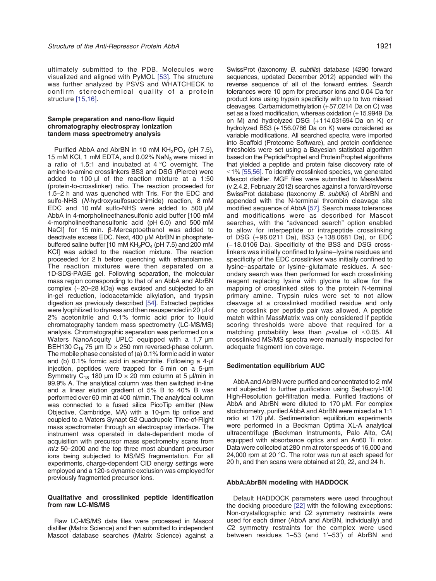ultimately submitted to the PDB. Molecules were visualized and aligned with PyMOL [\[53\].](#page-13-0) The structure was further analyzed by PSVS and WHATCHECK to confirm stereochemical quality of a protein structure [\[15,16\]](#page-12-0).

#### Sample preparation and nano-flow liquid chromatography electrospray ionization tandem mass spectrometry analysis

Purified AbbA and AbrBN in 10 mM  $KH<sub>2</sub>PO<sub>4</sub>$  (pH 7.5), 15 mM KCl, 1 mM EDTA, and 0.02% NaN<sub>3</sub> were mixed in a ratio of 1.5:1 and incubated at 4 °C overnight. The amine-to-amine crosslinkers BS3 and DSG (Pierce) were added to 100 μl of the reaction mixture at a 1:50 (protein-to-crosslinker) ratio. The reaction proceeded for 1.5–2 h and was quenched with Tris. For the EDC and sulfo-NHS (N-hydroxysulfosuccinimide) reaction, 8 mM EDC and 10 mM sulfo-NHS were added to 500 μM AbbA in 4-morpholineethanesulfonic acid buffer [100 mM 4-morpholineethanesulfonic acid (pH 6.0) and 500 mM NaCl] for 15 min. β-Mercaptoethanol was added to deactivate excess EDC. Next, 400 μM AbrBN in phosphatebuffered saline buffer [10 mM  $KH_2PO_4$  (pH 7.5) and 200 mM KCl] was added to the reaction mixture. The reaction proceeded for 2 h before quenching with ethanolamine. The reaction mixtures were then separated on a 1D-SDS-PAGE gel. Following separation, the molecular mass region corresponding to that of an AbbA and AbrBN complex (~20–28 kDa) was excised and subjected to an in-gel reduction, iodoacetamide alkylation, and trypsin digestion as previously described [\[54\]](#page-13-0). Extracted peptides were lyophilized to dryness and then resuspended in 20 μl of 2% acetonitrile and 0.1% formic acid prior to liquid chromatography tandem mass spectrometry (LC-MS/MS) analysis. Chromatographic separation was performed on a Waters NanoAcquity UPLC equipped with a 1.7 μm BEH130 C<sub>18</sub> 75 μm ID  $\times$  250 mm reversed-phase column. The mobile phase consisted of (a) 0.1% formic acid in water and (b) 0.1% formic acid in acetonitrile. Following a 4-μl injection, peptides were trapped for 5 min on a 5-μm Symmetry C<sub>18</sub> 180 μm ID  $\times$  20 mm column at 5 μl/min in 99.9% A. The analytical column was then switched in-line and a linear elution gradient of 5% B to 40% B was performed over 60 min at 400 nl/min. The analytical column was connected to a fused silica PicoTip emitter (New Objective, Cambridge, MA) with a 10-μm tip orifice and coupled to a Waters Synapt G2 Quadrupole Time-of-Flight mass spectrometer through an electrospray interface. The instrument was operated in data-dependent mode of acquisition with precursor mass spectrometry scans from  $m/z$  50–2000 and the top three most abundant precursor ions being subjected to MS/MS fragmentation. For all experiments, charge-dependent CID energy settings were employed and a 120-s dynamic exclusion was employed for previously fragmented precursor ions.

#### Qualitative and crosslinked peptide identification from raw LC-MS/MS

Raw LC-MS/MS data files were processed in Mascot distiller (Matrix Science) and then submitted to independent Mascot database searches (Matrix Science) against a

SwissProt (taxonomy B. subtilis) database (4290 forward sequences, updated December 2012) appended with the reverse sequence of all of the forward entries. Search tolerances were 10 ppm for precursor ions and 0.04 Da for product ions using trypsin specificity with up to two missed cleavages. Carbamidomethylation (+57.0214 Da on C) was set as a fixed modification, whereas oxidation (+15.9949 Da on M) and hydrolyzed DSG (+114.031694 Da on K) or hydrolyzed BS3 (+156.0786 Da on K) were considered as variable modifications. All searched spectra were imported into Scaffold (Proteome Software), and protein confidence thresholds were set using a Bayesian statistical algorithm based on the PeptideProphet and ProteinProphet algorithms that yielded a peptide and protein false discovery rate of  $1\%$  [\[55,56\]](#page-13-0). To identify crosslinked species, we generated Mascot distiller. MGF files were submitted to MassMatrix (v 2.4.2, February 2012) searches against a forward/reverse SwissProt database (taxonomy B. subtilis) of AbrBN and appended with the N-terminal thrombin cleavage site modified sequence of AbbA [\[57\].](#page-13-0) Search mass tolerances and modifications were as described for Mascot searches, with the "advanced search" option enabled to allow for interpeptide or intrapeptide crosslinking of DSG (+ 96.0211 Da), BS3 (+ 138.0681 Da), or EDC (−18.0106 Da). Specificity of the BS3 and DSG crosslinkers was initially confined to lysine–lysine residues and specificity of the EDC crosslinker was initially confined to lysine–aspartate or lysine–glutamate residues. A secondary search was then performed for each crosslinking reagent replacing lysine with glycine to allow for the mapping of crosslinked sites to the protein N-terminal primary amine. Trypsin rules were set to not allow cleavage at a crosslinked modified residue and only one crosslink per peptide pair was allowed. A peptide match within MassMatrix was only considered if peptide scoring thresholds were above that required for a matching probability less than  $p$ -value of <0.05. All crosslinked MS/MS spectra were manually inspected for adequate fragment ion coverage.

#### Sedimentation equilibrium AUC

AbbA and AbrBN were purified and concentrated to 2 mM and subjected to further purification using Sephacryl-100 High-Resolution gel-filtration media. Purified fractions of AbbA and AbrBN were diluted to 170 μM. For complex stoichiometry, purified AbbA and AbrBN were mixed at a 1:1 ratio at 170 μM. Sedimentation equilibrium experiments were performed in a Beckman Optima XL-A analytical ultracentrifuge (Beckman Instruments, Palo Alto, CA) equipped with absorbance optics and an An60 Ti rotor. Data were collected at 280 nm at rotor speeds of 16,000 and 24,000 rpm at 20 °C. The rotor was run at each speed for 20 h, and then scans were obtained at 20, 22, and 24 h.

#### AbbA:AbrBN modeling with HADDOCK

Default HADDOCK parameters were used throughout the docking procedure [\[22\]](#page-12-0) with the following exceptions: Non-crystallographic and C2 symmetry restraints were used for each dimer (AbbA and AbrBN, individually) and C2 symmetry restraints for the complex were used between residues 1–53 (and 1′–53′) of AbrBN and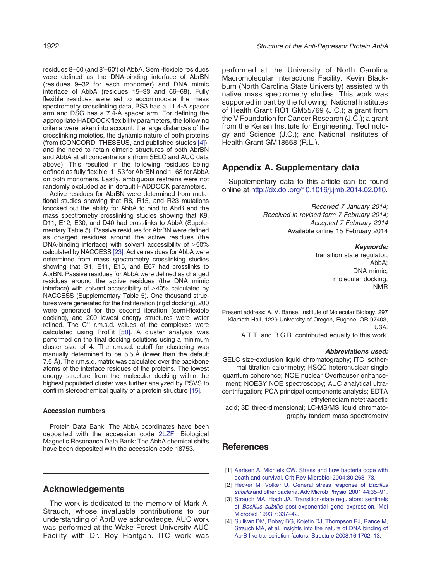<span id="page-11-0"></span>residues 8–60 (and 8′–60′) of AbbA. Semi-flexible residues were defined as the DNA-binding interface of AbrBN (residues 9–32 for each monomer) and DNA mimic interface of AbbA (residues 15–33 and 66–68). Fully flexible residues were set to accommodate the mass spectrometry crosslinking data, BS3 has a 11.4-Å spacer arm and DSG has a 7.4-Å spacer arm. For defining the appropriate HADDOCK flexibility parameters, the following criteria were taken into account: the large distances of the crosslinking moieties, the dynamic nature of both proteins (from tCONCORD, THESEUS, and published studies [4]), and the need to retain dimeric structures of both AbrBN and AbbA at all concentrations (from SELC and AUC data above). This resulted in the following residues being defined as fully flexible: 1–53 for AbrBN and 1–68 for AbbA on both monomers. Lastly, ambiguous restrains were not randomly excluded as in default HADDOCK parameters.

Active residues for AbrBN were determined from mutational studies showing that R8, R15, and R23 mutations knocked out the ability for AbbA to bind to AbrB and the mass spectrometry crosslinking studies showing that K9, D11, E12, E30, and D40 had crosslinks to AbbA (Supplementary Table 5). Passive residues for AbrBN were defined as charged residues around the active residues (the DNA-binding interface) with solvent accessibility of  $>50\%$ calculated by NACCESS [\[23\]](#page-12-0). Active residues for AbbA were determined from mass spectrometry crosslinking studies showing that G1, E11, E15, and E67 had crosslinks to AbrBN. Passive residues for AbbA were defined as charged residues around the active residues (the DNA mimic interface) with solvent accessibility of  $>40\%$  calculated by NACCESS (Supplementary Table 5). One thousand structures were generated for the first iteration (rigid docking), 200 were generated for the second iteration (semi-flexible docking), and 200 lowest energy structures were water refined. The  $C^{\alpha}$  r.m.s.d. values of the complexes were calculated using ProFit [\[58\].](#page-13-0) A cluster analysis was performed on the final docking solutions using a minimum cluster size of 4. The r.m.s.d. cutoff for clustering was manually determined to be 5.5 Å (lower than the default 7.5 Å). The r.m.s.d. matrix was calculated over the backbone atoms of the interface residues of the proteins. The lowest energy structure from the molecular docking within the highest populated cluster was further analyzed by PSVS to confirm stereochemical quality of a protein structure [\[15\]](#page-12-0).

## Accession numbers

Protein Data Bank: The AbbA coordinates have been deposited with the accession code 2LZF. Biological Magnetic Resonance Data Bank: The AbbA chemical shifts have been deposited with the accession code 18753.

# Acknowledgements

The work is dedicated to the memory of Mark A. Strauch, whose invaluable contributions to our understanding of AbrB we acknowledge. AUC work was performed at the Wake Forest University AUC Facility with Dr. Roy Hantgan. ITC work was performed at the University of North Carolina Macromolecular Interactions Facility. Kevin Blackburn (North Carolina State University) assisted with native mass spectrometry studies. This work was supported in part by the following: National Institutes of Health Grant RO1 GM55769 (J.C.); a grant from the V Foundation for Cancer Research (J.C.); a grant from the Kenan Institute for Engineering, Technology and Science (J.C.); and National Institutes of Health Grant GM18568 (R.L.).

# Appendix A. Supplementary data

Supplementary data to this article can be found online at [http://dx.doi.org/10.1016/j.jmb.2014.02.010.](http://dx.doi.org/10.1016/j.jmb.2014.02.010)

> Received 7 January 2014; Received in revised form 7 February 2014; Accepted 7 February 2014 Available online 15 February 2014

> > Keywords: transition state regulator; AbbA; DNA mimic; molecular docking; NMR

Present address: A. V. Banse, Institute of Molecular Biology, 297 Klamath Hall, 1229 University of Oregon, Eugene, OR 97403, USA.

A.T.T. and B.G.B. contributed equally to this work.

#### Abbreviations used:

SELC size-exclusion liquid chromatography; ITC isothermal titration calorimetry; HSQC heteronuclear single quantum coherence; NOE nuclear Overhauser enhancement; NOESY NOE spectroscopy; AUC analytical ultracentrifugation; PCA principal components analysis; EDTA ethylenediaminetetraacetic

acid; 3D three-dimensional; LC-MS/MS liquid chromatography tandem mass spectrometry

# References

- [1] Aertsen A, Michiels CW. Stress and how bacteria cope with death and survival. Crit Rev Microbiol 2004;30:263–73.
- [2] Hecker M, Volker U. General stress response of Bacillus subtilis and other bacteria. Adv Microb Physiol 2001;44:35–91.
- [3] Strauch MA, Hoch JA. Transition-state regulators: sentinels of Bacillus subtilis post-exponential gene expression. Mol Microbiol 1993;7:337–42.
- [4] Sullivan DM, Bobay BG, Kojetin DJ, Thompson RJ, Rance M, Strauch MA, et al. Insights into the nature of DNA binding of AbrB-like transcription factors. Structure 2008;16:1702–13.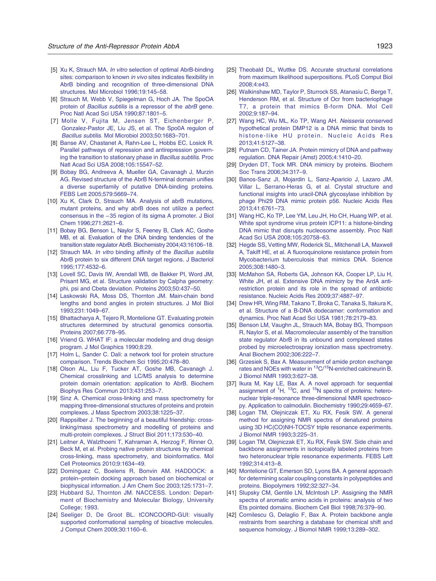- <span id="page-12-0"></span>[5] Xu K, Strauch MA. *In vitro* selection of optimal AbrB-binding sites: comparison to known in vivo sites indicates flexibility in AbrB binding and recognition of three-dimensional DNA structures. Mol Microbiol 1996;19:145–58.
- [6] Strauch M, Webb V, Spiegelman G, Hoch JA. The SpoOA protein of Bacillus subtilis is a repressor of the abrB gene. Proc Natl Acad Sci USA 1990;87:1801–5.
- [7] Molle V, Fujita M, Jensen ST, Eichenberger P, Gonzalez-Pastor JE, Liu JS, et al. The Spo0A regulon of Bacillus subtilis. Mol Microbiol 2003;50:1683–701.
- [8] Banse AV, Chastanet A, Rahn-Lee L, Hobbs EC, Losick R. Parallel pathways of repression and antirepression governing the transition to stationary phase in Bacillus subtilis. Proc Natl Acad Sci USA 2008;105:15547–52.
- [9] Bobay BG, Andreeva A, Mueller GA, Cavanagh J, Murzin AG. Revised structure of the AbrB N-terminal domain unifies a diverse superfamily of putative DNA-binding proteins. FEBS Lett 2005;579:5669–74.
- [10] Xu K, Clark D, Strauch MA. Analysis of abrB mutations, mutant proteins, and why abrB does not utilize a perfect consensus in the −35 region of its sigma A promoter. J Biol Chem 1996;271:2621–6.
- [11] Bobay BG, Benson L, Naylor S, Feeney B, Clark AC, Goshe MB, et al. Evaluation of the DNA binding tendencies of the transition state regulator AbrB. Biochemistry 2004;43:16106–18.
- [12] Strauch MA. In vitro binding affinity of the Bacillus subtilis AbrB protein to six different DNA target regions. J Bacteriol 1995;177:4532–6.
- [13] Lovell SC, Davis IW, Arendall WB, de Bakker PI, Word JM, Prisant MG, et al. Structure validation by Calpha geometry: phi, psi and Cbeta deviation. Proteins 2003;50:437–50.
- [14] Laskowski RA, Moss DS, Thornton JM. Main-chain bond lengths and bond angles in protein structures. J Mol Biol 1993;231:1049–67.
- [15] Bhattacharya A, Tejero R, Montelione GT. Evaluating protein structures determined by structural genomics consortia. Proteins 2007;66:778–95.
- [16] Vriend G. WHAT IF: a molecular modeling and drug design program. J Mol Graphics 1990;8:29.
- [17] Holm L, Sander C. Dali: a network tool for protein structure comparison. Trends Biochem Sci 1995;20:478–80.
- [18] Olson AL, Liu F, Tucker AT, Goshe MB, Cavanagh J. Chemical crosslinking and LC/MS analysis to determine protein domain orientation: application to AbrB. Biochem Biophys Res Commun 2013;431:253–7.
- [19] Sinz A. Chemical cross-linking and mass spectrometry for mapping three-dimensional structures of proteins and protein complexes. J Mass Spectrom 2003;38:1225–37.
- [20] Rappsilber J. The beginning of a beautiful friendship: crosslinking/mass spectrometry and modelling of proteins and multi-protein complexes. J Struct Biol 2011;173:530–40.
- [21] Leitner A, Walzthoeni T, Kahraman A, Herzog F, Rinner O, Beck M, et al. Probing native protein structures by chemical cross-linking, mass spectrometry, and bioinformatics. Mol Cell Proteomics 2010;9:1634–49.
- [22] Dominguez C, Boelens R, Bonvin AM. HADDOCK: a protein–protein docking approach based on biochemical or biophysical information. J Am Chem Soc 2003;125:1731–7.
- [23] Hubbard SJ, Thornton JM. NACCESS. London: Department of Biochemistry and Molecular Biology, University College; 1993.
- [24] Seeliger D, De Groot BL. tCONCOORD-GUI: visually supported conformational sampling of bioactive molecules. J Comput Chem 2009;30:1160–6.
- [25] Theobald DL, Wuttke DS. Accurate structural correlations from maximum likelihood superpositions. PLoS Comput Biol 2008;4:e43.
- [26] Walkinshaw MD, Taylor P, Sturrock SS, Atanasiu C, Berge T, Henderson RM, et al. Structure of Ocr from bacteriophage T7, a protein that mimics B-form DNA. Mol Cell 2002;9:187–94.
- [27] Wang HC, Wu ML, Ko TP, Wang AH. Neisseria conserved hypothetical protein DMP12 is a DNA mimic that binds to histone-like HU protein. Nucleic Acids Res 2013;41:5127–38.
- [28] Putnam CD, Tainer JA. Protein mimicry of DNA and pathway regulation. DNA Repair (Amst) 2005;4:1410–20.
- Dryden DT, Tock MR. DNA mimicry by proteins. Biochem Soc Trans 2006;34:317–9.
- [30] Banos-Sanz JI, Mojardin L, Sanz-Aparicio J, Lazaro JM, Villar L, Serrano-Heras G, et al. Crystal structure and functional insights into uracil-DNA glycosylase inhibition by phage Phi29 DNA mimic protein p56. Nucleic Acids Res 2013;41:6761–73.
- [31] Wang HC, Ko TP, Lee YM, Leu JH, Ho CH, Huang WP, et al. White spot syndrome virus protein ICP11: a histone-binding DNA mimic that disrupts nucleosome assembly. Proc Natl Acad Sci USA 2008;105:20758–63.
- [32] Hegde SS, Vetting MW, Roderick SL, Mitchenall LA, Maxwell A, Takiff HE, et al. A fluoroquinolone resistance protein from Mycobacterium tuberculosis that mimics DNA. Science 2005;308:1480–3.
- [33] McMahon SA, Roberts GA, Johnson KA, Cooper LP, Liu H, White JH, et al. Extensive DNA mimicry by the ArdA antirestriction protein and its role in the spread of antibiotic resistance. Nucleic Acids Res 2009;37:4887–97.
- [34] Drew HR, Wing RM, Takano T, Broka C, Tanaka S, Itakura K, et al. Structure of a B-DNA dodecamer: conformation and dynamics. Proc Natl Acad Sci USA 1981;78:2179–83.
- [35] Benson LM, Vaughn JL, Strauch MA, Bobay BG, Thompson R, Naylor S, et al. Macromolecular assembly of the transition state regulator AbrB in its unbound and complexed states probed by microelectrospray ionization mass spectrometry. Anal Biochem 2002;306:222–7.
- [36] Grzesiek S, Bax A. Measurement of amide proton exchange rates and NOEs with water in 13C/15N-enriched calcineurin B. J Biomol NMR 1993;3:627–38.
- [37] Ikura M, Kay LE, Bax A. A novel approach for sequential assignment of  ${}^{1}H$ ,  ${}^{13}C$ , and  ${}^{15}N$  spectra of proteins: heteronuclear triple-resonance three-dimensional NMR spectroscopy. Application to calmodulin. Biochemistry 1990;29:4659–67.
- [38] Logan TM, Olejniczak ET, Xu RX, Fesik SW. A general method for assigning NMR spectra of denatured proteins using 3D HC(CO)NH-TOCSY triple resonance experiments. J Biomol NMR 1993;3:225–31.
- [39] Logan TM, Olejniczak ET, Xu RX, Fesik SW. Side chain and backbone assignments in isotopically labeled proteins from two heteronuclear triple resonance experiments. FEBS Lett 1992;314:413–8.
- [40] Montelione GT, Emerson SD, Lyons BA. A general approach for determining scalar coupling constants in polypeptides and proteins. Biopolymers 1992;32:327–34.
- [41] Slupsky CM, Gentile LN, McIntosh LP. Assigning the NMR spectra of aromatic amino acids in proteins: analysis of two Ets pointed domains. Biochem Cell Biol 1998;76:379–90.
- [42] Cornilescu G, Delaglio F, Bax A. Protein backbone angle restraints from searching a database for chemical shift and sequence homology. J Biomol NMR 1999;13:289–302.